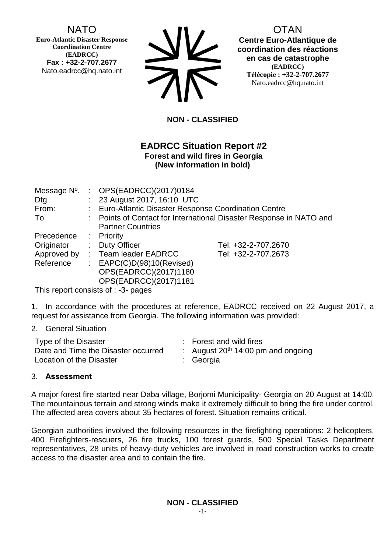# NATO

**Euro-Atlantic Disaster Response Coordination Centre (EADRCC) Fax : +32-2-707.2677** Nato.eadrcc@hq.nato.int

| <b>SIV</b> |
|------------|
| <b>712</b> |

OTAN **Centre Euro-Atlantique de coordination des réactions en cas de catastrophe (EADRCC) Télécopie : +32-2-707.2677** Nato.eadrcc@hq.nato.int

## **NON - CLASSIFIED**

## **EADRCC Situation Report #2 Forest and wild fires in Georgia (New information in bold)**

| Message N°. | : $OPS(EADRCC)(2017)0184$                                           |                     |  |  |
|-------------|---------------------------------------------------------------------|---------------------|--|--|
| Dtg         | : 23 August 2017, 16:10 UTC                                         |                     |  |  |
| From:       | : Euro-Atlantic Disaster Response Coordination Centre               |                     |  |  |
| To          | : Points of Contact for International Disaster Response in NATO and |                     |  |  |
|             | <b>Partner Countries</b>                                            |                     |  |  |
| Precedence  | $:$ Priority                                                        |                     |  |  |
| Originator  | : Duty Officer                                                      | Tel: +32-2-707.2670 |  |  |
| Approved by | : Team leader EADRCC                                                | Tel: +32-2-707.2673 |  |  |
| Reference   | : $EAPC(C)D(98)10(Revised)$                                         |                     |  |  |
|             | OPS(EADRCC)(2017)1180                                               |                     |  |  |
|             | OPS(EADRCC)(2017)1181                                               |                     |  |  |

This report consists of : -3- pages

1. In accordance with the procedures at reference, EADRCC received on 22 August 2017, a request for assistance from Georgia. The following information was provided:

### 2. General Situation

| Type of the Disaster                | : Forest and wild fires              |
|-------------------------------------|--------------------------------------|
| Date and Time the Disaster occurred | : August $20th 14:00$ pm and ongoing |
| Location of the Disaster            | : Georgia                            |

### 3. **Assessment**

A major forest fire started near Daba village, Borjomi Municipality- Georgia on 20 August at 14:00. The mountainous terrain and strong winds make it extremely difficult to bring the fire under control. The affected area covers about 35 hectares of forest. Situation remains critical.

Georgian authorities involved the following resources in the firefighting operations: 2 helicopters, 400 Firefighters-rescuers, 26 fire trucks, 100 forest guards, 500 Special Tasks Department representatives, 28 units of heavy-duty vehicles are involved in road construction works to create access to the disaster area and to contain the fire.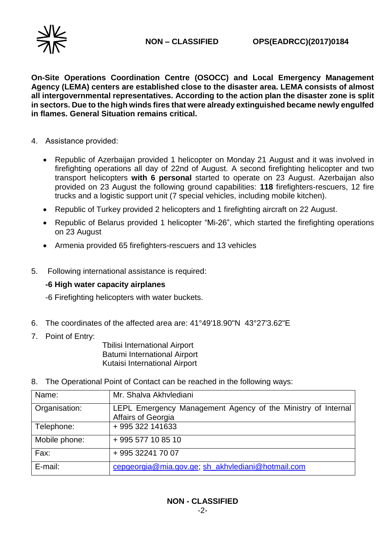

**On-Site Operations Coordination Centre (OSOCC) and Local Emergency Management Agency (LEMA) centers are established close to the disaster area. LEMA consists of almost all intergovernmental representatives. According to the action plan the disaster zone is split in sectors. Due to the high winds fires that were already extinguished became newly engulfed in flames. General Situation remains critical.**

- 4. Assistance provided:
	- Republic of Azerbaijan provided 1 helicopter on Monday 21 August and it was involved in firefighting operations all day of 22nd of August. A second firefighting helicopter and two transport helicopters **with 6 personal** started to operate on 23 August. Azerbaijan also provided on 23 August the following ground capabilities: **118** firefighters-rescuers, 12 fire trucks and a logistic support unit (7 special vehicles, including mobile kitchen).
	- Republic of Turkey provided 2 helicopters and 1 firefighting aircraft on 22 August.
	- Republic of Belarus provided 1 helicopter "Mi-26", which started the firefighting operations on 23 August
	- Armenia provided 65 firefighters-rescuers and 13 vehicles
- 5. Following international assistance is required:

### **-6 High water capacity airplanes**

-6 Firefighting helicopters with water buckets.

- 6. The coordinates of the affected area are: 41°49'18.90"N 43°27'3.62"E
- 7. Point of Entry:

 Tbilisi International Airport Batumi International Airport Kutaisi International Airport

8. The Operational Point of Contact can be reached in the following ways:

| Name:         | Mr. Shalva Akhvlediani                                                             |
|---------------|------------------------------------------------------------------------------------|
| Organisation: | LEPL Emergency Management Agency of the Ministry of Internal<br>Affairs of Georgia |
| Telephone:    | +995 322 141633                                                                    |
| Mobile phone: | +995 577 10 85 10                                                                  |
| Fax:          | +995 32241 70 07                                                                   |
| E-mail:       | cepgeorgia@mia.gov.ge; sh_akhvlediani@hotmail.com                                  |